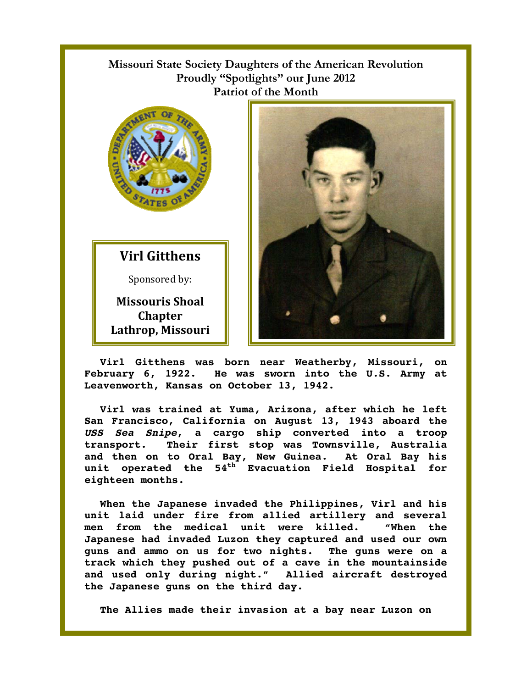## **Missouri State Society Daughters of the American Revolution Proudly "Spotlights" our June 2012 Patriot of the Month**



**Virl Gitthens**  Sponsored by: **Missouris Shoal Chapter Lathrop, Missouri** 



**Virl Gitthens was born near Weatherby, Missouri, on February 6, 1922. He was sworn into the U.S. Army at Leavenworth, Kansas on October 13, 1942.** 

**Virl was trained at Yuma, Arizona, after which he left San Francisco, California on August 13, 1943 aboard the**  *USS Sea Snipe***, a cargo ship converted into a troop transport. Their first stop was Townsville, Australia and then on to Oral Bay, New Guinea. At Oral Bay his**  unit operated the 54<sup>th</sup> Evacuation Field Hospital for **eighteen months.** 

**When the Japanese invaded the Philippines, Virl and his unit laid under fire from allied artillery and several men from the medical unit were killed. "When the Japanese had invaded Luzon they captured and used our own guns and ammo on us for two nights. The guns were on a track which they pushed out of a cave in the mountainside and used only during night." Allied aircraft destroyed the Japanese guns on the third day.** 

**The Allies made their invasion at a bay near Luzon on**